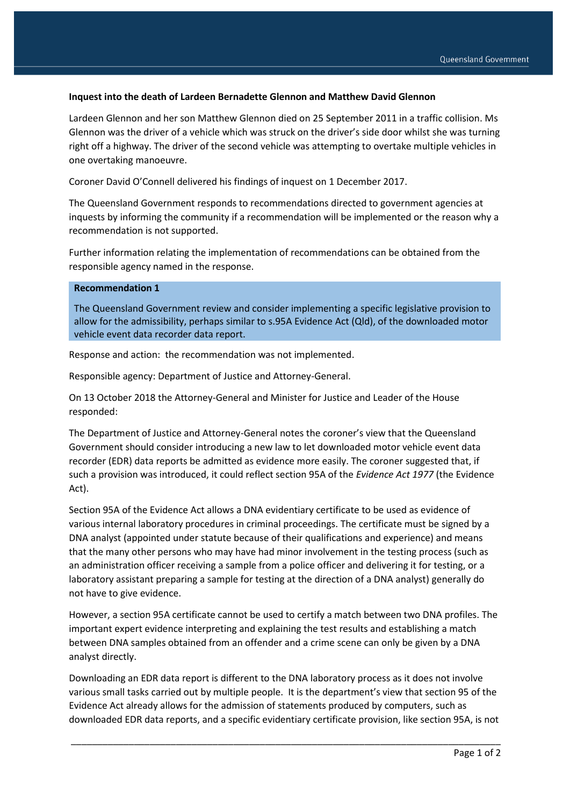## **Inquest into the death of Lardeen Bernadette Glennon and Matthew David Glennon**

Lardeen Glennon and her son Matthew Glennon died on 25 September 2011 in a traffic collision. Ms Glennon was the driver of a vehicle which was struck on the driver's side door whilst she was turning right off a highway. The driver of the second vehicle was attempting to overtake multiple vehicles in one overtaking manoeuvre.

Coroner David O'Connell delivered his findings of inquest on 1 December 2017.

The Queensland Government responds to recommendations directed to government agencies at inquests by informing the community if a recommendation will be implemented or the reason why a recommendation is not supported.

Further information relating the implementation of recommendations can be obtained from the responsible agency named in the response.

## **Recommendation 1**

The Queensland Government review and consider implementing a specific legislative provision to allow for the admissibility, perhaps similar to s.95A Evidence Act (Qld), of the downloaded motor vehicle event data recorder data report.

Response and action: the recommendation was not implemented.

Responsible agency: Department of Justice and Attorney-General.

On 13 October 2018 the Attorney-General and Minister for Justice and Leader of the House responded:

The Department of Justice and Attorney-General notes the coroner's view that the Queensland Government should consider introducing a new law to let downloaded motor vehicle event data recorder (EDR) data reports be admitted as evidence more easily. The coroner suggested that, if such a provision was introduced, it could reflect section 95A of the *Evidence Act 1977* (the Evidence Act).

Section 95A of the Evidence Act allows a DNA evidentiary certificate to be used as evidence of various internal laboratory procedures in criminal proceedings. The certificate must be signed by a DNA analyst (appointed under statute because of their qualifications and experience) and means that the many other persons who may have had minor involvement in the testing process (such as an administration officer receiving a sample from a police officer and delivering it for testing, or a laboratory assistant preparing a sample for testing at the direction of a DNA analyst) generally do not have to give evidence.

However, a section 95A certificate cannot be used to certify a match between two DNA profiles. The important expert evidence interpreting and explaining the test results and establishing a match between DNA samples obtained from an offender and a crime scene can only be given by a DNA analyst directly.

Downloading an EDR data report is different to the DNA laboratory process as it does not involve various small tasks carried out by multiple people. It is the department's view that section 95 of the Evidence Act already allows for the admission of statements produced by computers, such as downloaded EDR data reports, and a specific evidentiary certificate provision, like section 95A, is not

\_\_\_\_\_\_\_\_\_\_\_\_\_\_\_\_\_\_\_\_\_\_\_\_\_\_\_\_\_\_\_\_\_\_\_\_\_\_\_\_\_\_\_\_\_\_\_\_\_\_\_\_\_\_\_\_\_\_\_\_\_\_\_\_\_\_\_\_\_\_\_\_\_\_\_\_\_\_\_\_\_\_